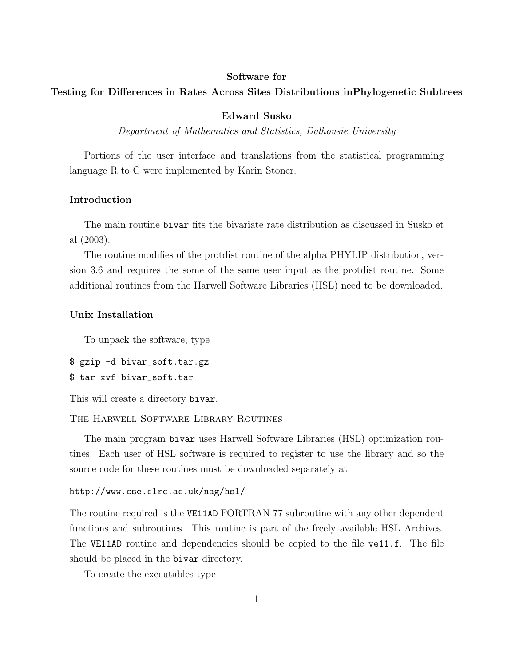#### Software for

# Testing for Differences in Rates Across Sites Distributions inPhylogenetic Subtrees

## Edward Susko

Department of Mathematics and Statistics, Dalhousie University

Portions of the user interface and translations from the statistical programming language R to C were implemented by Karin Stoner.

# Introduction

The main routine bivar fits the bivariate rate distribution as discussed in Susko et al (2003).

The routine modifies of the protdist routine of the alpha PHYLIP distribution, version 3.6 and requires the some of the same user input as the protdist routine. Some additional routines from the Harwell Software Libraries (HSL) need to be downloaded.

## Unix Installation

To unpack the software, type

```
$ gzip -d bivar_soft.tar.gz
$ tar xvf bivar_soft.tar
```
This will create a directory bivar.

The Harwell Software Library Routines

The main program bivar uses Harwell Software Libraries (HSL) optimization routines. Each user of HSL software is required to register to use the library and so the source code for these routines must be downloaded separately at

#### http://www.cse.clrc.ac.uk/nag/hsl/

The routine required is the VE11AD FORTRAN 77 subroutine with any other dependent functions and subroutines. This routine is part of the freely available HSL Archives. The VE11AD routine and dependencies should be copied to the file ve11.f. The file should be placed in the bivar directory.

To create the executables type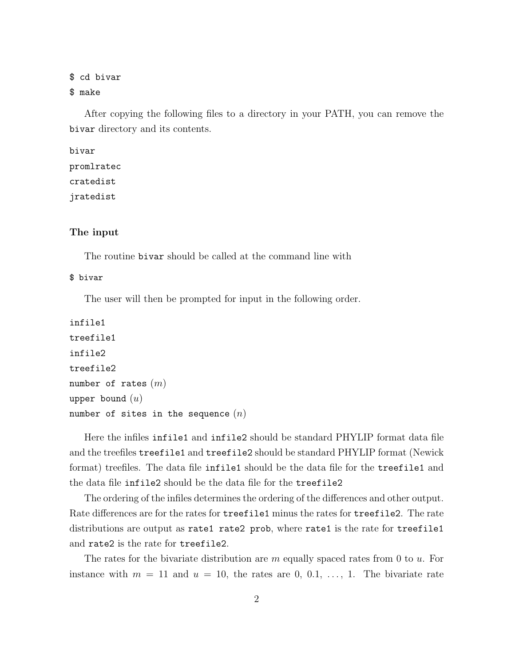\$ cd bivar \$ make

After copying the following files to a directory in your PATH, you can remove the bivar directory and its contents.

```
bivar
promlratec
cratedist
jratedist
```
## The input

The routine bivar should be called at the command line with

## \$ bivar

The user will then be prompted for input in the following order.

```
infile1
treefile1
infile2
treefile2
number of rates (m)upper bound (u)number of sites in the sequence (n)
```
Here the infiles infile1 and infile2 should be standard PHYLIP format data file and the treefiles treefile1 and treefile2 should be standard PHYLIP format (Newick format) treefiles. The data file infile1 should be the data file for the treefile1 and the data file infile2 should be the data file for the treefile2

The ordering of the infiles determines the ordering of the differences and other output. Rate differences are for the rates for treefile1 minus the rates for treefile2. The rate distributions are output as rate1 rate2 prob, where rate1 is the rate for treefile1 and rate2 is the rate for treefile2.

The rates for the bivariate distribution are  $m$  equally spaced rates from 0 to  $u$ . For instance with  $m = 11$  and  $u = 10$ , the rates are 0, 0.1, ..., 1. The bivariate rate